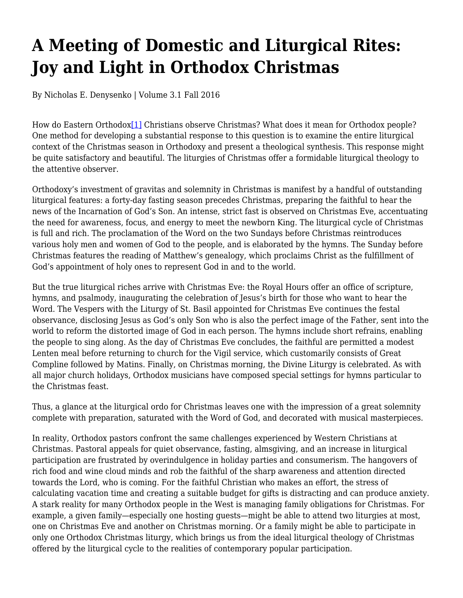# **A Meeting of Domestic and Liturgical Rites: Joy and Light in Orthodox Christmas**

By Nicholas E. Denysenko | Volume 3.1 Fall 2016

How do Eastern Orthodox<sup>[1]</sup> Christians observe Christmas? What does it mean for Orthodox people? One method for developing a substantial response to this question is to examine the entire liturgical context of the Christmas season in Orthodoxy and present a theological synthesis. This response might be quite satisfactory and beautiful. The liturgies of Christmas offer a formidable liturgical theology to the attentive observer.

Orthodoxy's investment of gravitas and solemnity in Christmas is manifest by a handful of outstanding liturgical features: a forty-day fasting season precedes Christmas, preparing the faithful to hear the news of the Incarnation of God's Son. An intense, strict fast is observed on Christmas Eve, accentuating the need for awareness, focus, and energy to meet the newborn King. The liturgical cycle of Christmas is full and rich. The proclamation of the Word on the two Sundays before Christmas reintroduces various holy men and women of God to the people, and is elaborated by the hymns. The Sunday before Christmas features the reading of Matthew's genealogy, which proclaims Christ as the fulfillment of God's appointment of holy ones to represent God in and to the world.

But the true liturgical riches arrive with Christmas Eve: the Royal Hours offer an office of scripture, hymns, and psalmody, inaugurating the celebration of Jesus's birth for those who want to hear the Word. The Vespers with the Liturgy of St. Basil appointed for Christmas Eve continues the festal observance, disclosing Jesus as God's only Son who is also the perfect image of the Father, sent into the world to reform the distorted image of God in each person. The hymns include short refrains, enabling the people to sing along. As the day of Christmas Eve concludes, the faithful are permitted a modest Lenten meal before returning to church for the Vigil service, which customarily consists of Great Compline followed by Matins. Finally, on Christmas morning, the Divine Liturgy is celebrated. As with all major church holidays, Orthodox musicians have composed special settings for hymns particular to the Christmas feast.

Thus, a glance at the liturgical ordo for Christmas leaves one with the impression of a great solemnity complete with preparation, saturated with the Word of God, and decorated with musical masterpieces.

In reality, Orthodox pastors confront the same challenges experienced by Western Christians at Christmas. Pastoral appeals for quiet observance, fasting, almsgiving, and an increase in liturgical participation are frustrated by overindulgence in holiday parties and consumerism. The hangovers of rich food and wine cloud minds and rob the faithful of the sharp awareness and attention directed towards the Lord, who is coming. For the faithful Christian who makes an effort, the stress of calculating vacation time and creating a suitable budget for gifts is distracting and can produce anxiety. A stark reality for many Orthodox people in the West is managing family obligations for Christmas. For example, a given family—especially one hosting guests—might be able to attend two liturgies at most, one on Christmas Eve and another on Christmas morning. Or a family might be able to participate in only one Orthodox Christmas liturgy, which brings us from the ideal liturgical theology of Christmas offered by the liturgical cycle to the realities of contemporary popular participation.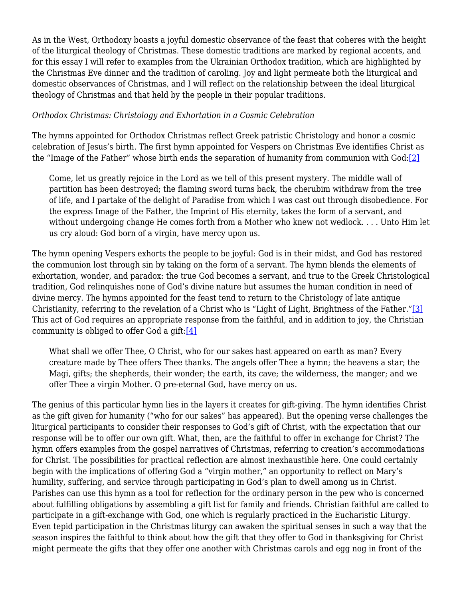As in the West, Orthodoxy boasts a joyful domestic observance of the feast that coheres with the height of the liturgical theology of Christmas. These domestic traditions are marked by regional accents, and for this essay I will refer to examples from the Ukrainian Orthodox tradition, which are highlighted by the Christmas Eve dinner and the tradition of caroling. Joy and light permeate both the liturgical and domestic observances of Christmas, and I will reflect on the relationship between the ideal liturgical theology of Christmas and that held by the people in their popular traditions.

#### *Orthodox Christmas: Christology and Exhortation in a Cosmic Celebration*

The hymns appointed for Orthodox Christmas reflect Greek patristic Christology and honor a cosmic celebration of Jesus's birth. The first hymn appointed for Vespers on Christmas Eve identifies Christ as the "Image of the Father" whose birth ends the separation of humanity from communion with God:[2]

Come, let us greatly rejoice in the Lord as we tell of this present mystery. The middle wall of partition has been destroyed; the flaming sword turns back, the cherubim withdraw from the tree of life, and I partake of the delight of Paradise from which I was cast out through disobedience. For the express Image of the Father, the Imprint of His eternity, takes the form of a servant, and without undergoing change He comes forth from a Mother who knew not wedlock. . . . Unto Him let us cry aloud: God born of a virgin, have mercy upon us.

The hymn opening Vespers exhorts the people to be joyful: God is in their midst, and God has restored the communion lost through sin by taking on the form of a servant. The hymn blends the elements of exhortation, wonder, and paradox: the true God becomes a servant, and true to the Greek Christological tradition, God relinquishes none of God's divine nature but assumes the human condition in need of divine mercy. The hymns appointed for the feast tend to return to the Christology of late antique Christianity, referring to the revelation of a Christ who is "Light of Light, Brightness of the Father."[3] This act of God requires an appropriate response from the faithful, and in addition to joy, the Christian community is obliged to offer God a gift: $[4]$ 

What shall we offer Thee, O Christ, who for our sakes hast appeared on earth as man? Every creature made by Thee offers Thee thanks. The angels offer Thee a hymn; the heavens a star; the Magi, gifts; the shepherds, their wonder; the earth, its cave; the wilderness, the manger; and we offer Thee a virgin Mother. O pre-eternal God, have mercy on us.

The genius of this particular hymn lies in the layers it creates for gift-giving. The hymn identifies Christ as the gift given for humanity ("who for our sakes" has appeared). But the opening verse challenges the liturgical participants to consider their responses to God's gift of Christ, with the expectation that our response will be to offer our own gift. What, then, are the faithful to offer in exchange for Christ? The hymn offers examples from the gospel narratives of Christmas, referring to creation's accommodations for Christ. The possibilities for practical reflection are almost inexhaustible here. One could certainly begin with the implications of offering God a "virgin mother," an opportunity to reflect on Mary's humility, suffering, and service through participating in God's plan to dwell among us in Christ. Parishes can use this hymn as a tool for reflection for the ordinary person in the pew who is concerned about fulfilling obligations by assembling a gift list for family and friends. Christian faithful are called to participate in a gift-exchange with God, one which is regularly practiced in the Eucharistic Liturgy. Even tepid participation in the Christmas liturgy can awaken the spiritual senses in such a way that the season inspires the faithful to think about how the gift that they offer to God in thanksgiving for Christ might permeate the gifts that they offer one another with Christmas carols and egg nog in front of the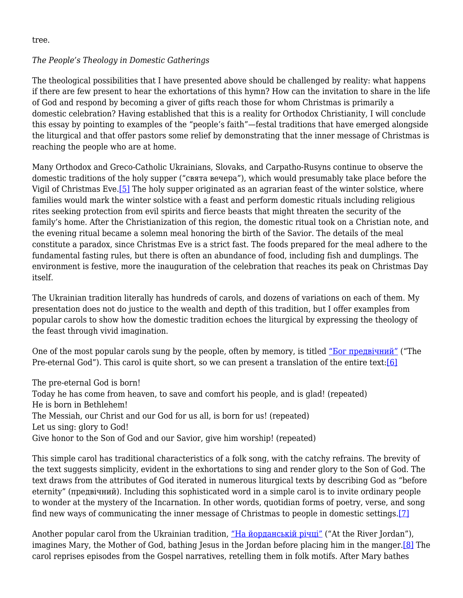tree.

# *The People's Theology in Domestic Gatherings*

The theological possibilities that I have presented above should be challenged by reality: what happens if there are few present to hear the exhortations of this hymn? How can the invitation to share in the life of God and respond by becoming a giver of gifts reach those for whom Christmas is primarily a domestic celebration? Having established that this is a reality for Orthodox Christianity, I will conclude this essay by pointing to examples of the "people's faith"—festal traditions that have emerged alongside the liturgical and that offer pastors some relief by demonstrating that the inner message of Christmas is reaching the people who are at home.

Many Orthodox and Greco-Catholic Ukrainians, Slovaks, and Carpatho-Rusyns continue to observe the domestic traditions of the holy supper ("свята вечера"), which would presumably take place before the Vigil of Christmas Eve.[5] The holy supper originated as an agrarian feast of the winter solstice, where families would mark the winter solstice with a feast and perform domestic rituals including religious rites seeking protection from evil spirits and fierce beasts that might threaten the security of the family's home. After the Christianization of this region, the domestic ritual took on a Christian note, and the evening ritual became a solemn meal honoring the birth of the Savior. The details of the meal constitute a paradox, since Christmas Eve is a strict fast. The foods prepared for the meal adhere to the fundamental fasting rules, but there is often an abundance of food, including fish and dumplings. The environment is festive, more the inauguration of the celebration that reaches its peak on Christmas Day itself.

The Ukrainian tradition literally has hundreds of carols, and dozens of variations on each of them. My presentation does not do justice to the wealth and depth of this tradition, but I offer examples from popular carols to show how the domestic tradition echoes the liturgical by expressing the theology of the feast through vivid imagination.

One of the most popular carols sung by the people, often by memory, is titled "Бог предвічний" ("The Pre-eternal God"). This carol is quite short, so we can present a translation of the entire text:[6]

The pre-eternal God is born! Today he has come from heaven, to save and comfort his people, and is glad! (repeated) He is born in Bethlehem! The Messiah, our Christ and our God for us all, is born for us! (repeated) Let us sing: glory to God! Give honor to the Son of God and our Savior, give him worship! (repeated)

This simple carol has traditional characteristics of a folk song, with the catchy refrains. The brevity of the text suggests simplicity, evident in the exhortations to sing and render glory to the Son of God. The text draws from the attributes of God iterated in numerous liturgical texts by describing God as "before eternity" (предвічний). Including this sophisticated word in a simple carol is to invite ordinary people to wonder at the mystery of the Incarnation. In other words, quotidian forms of poetry, verse, and song find new ways of communicating the inner message of Christmas to people in domestic settings.[7]

Another popular carol from the Ukrainian tradition, <u>"На йорданській річці"</u> ("At the River Jordan"), imagines Mary, the Mother of God, bathing Jesus in the Jordan before placing him in the manger.[8] The carol reprises episodes from the Gospel narratives, retelling them in folk motifs. After Mary bathes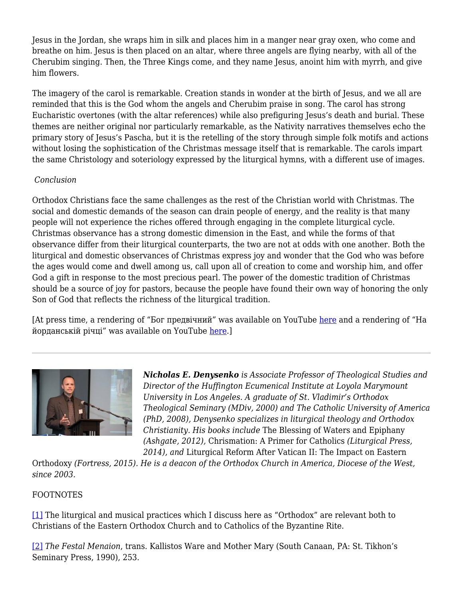Jesus in the Jordan, she wraps him in silk and places him in a manger near gray oxen, who come and breathe on him. Jesus is then placed on an altar, where three angels are flying nearby, with all of the Cherubim singing. Then, the Three Kings come, and they name Jesus, anoint him with myrrh, and give him flowers.

The imagery of the carol is remarkable. Creation stands in wonder at the birth of Jesus, and we all are reminded that this is the God whom the angels and Cherubim praise in song. The carol has strong Eucharistic overtones (with the altar references) while also prefiguring Jesus's death and burial. These themes are neither original nor particularly remarkable, as the Nativity narratives themselves echo the primary story of Jesus's Pascha, but it is the retelling of the story through simple folk motifs and actions without losing the sophistication of the Christmas message itself that is remarkable. The carols impart the same Christology and soteriology expressed by the liturgical hymns, with a different use of images.

# *Conclusion*

Orthodox Christians face the same challenges as the rest of the Christian world with Christmas. The social and domestic demands of the season can drain people of energy, and the reality is that many people will not experience the riches offered through engaging in the complete liturgical cycle. Christmas observance has a strong domestic dimension in the East, and while the forms of that observance differ from their liturgical counterparts, the two are not at odds with one another. Both the liturgical and domestic observances of Christmas express joy and wonder that the God who was before the ages would come and dwell among us, call upon all of creation to come and worship him, and offer God a gift in response to the most precious pearl. The power of the domestic tradition of Christmas should be a source of joy for pastors, because the people have found their own way of honoring the only Son of God that reflects the richness of the liturgical tradition.

[At press time, a rendering of "Бог предвічний" was available on YouTube here and a rendering of "Ha йорданській річці" was available on YouTube here.]



*Nicholas E. Denysenko is Associate Professor of Theological Studies and Director of the Huffington Ecumenical Institute at Loyola Marymount University in Los Angeles. A graduate of St. Vladimir's Orthodox Theological Seminary (MDiv, 2000) and The Catholic University of America (PhD, 2008), Denysenko specializes in liturgical theology and Orthodox Christianity. His books include* The Blessing of Waters and Epiphany *(Ashgate, 2012),* Chrismation: A Primer for Catholics *(Liturgical Press, 2014), and* Liturgical Reform After Vatican II: The Impact on Eastern

Orthodoxy *(Fortress, 2015). He is a deacon of the Orthodox Church in America, Diocese of the West, since 2003.* 

# FOOTNOTES

[1] The liturgical and musical practices which I discuss here as "Orthodox" are relevant both to Christians of the Eastern Orthodox Church and to Catholics of the Byzantine Rite.

[2] *The Festal Menaion*, trans. Kallistos Ware and Mother Mary (South Canaan, PA: St. Tikhon's Seminary Press, 1990), 253.